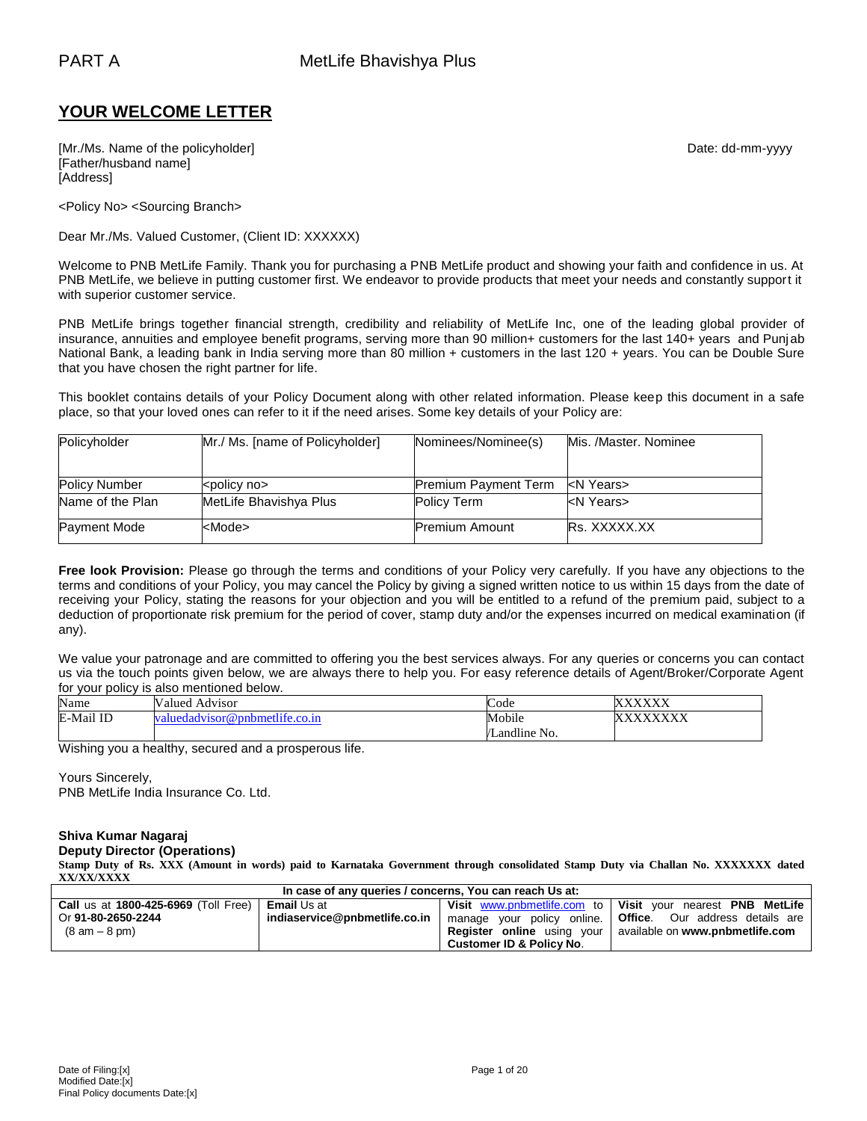# **YOUR WELCOME LETTER**

[Mr./Ms. Name of the policyholder] example and the policyholder of the policyholder] and the policyholder of the policyholder of the policyholder of the policyholder of the policyholder of the policyholder of the policyhol [Father/husband name] [Address]

<Policy No> <Sourcing Branch>

Dear Mr./Ms. Valued Customer, (Client ID: XXXXXX)

Welcome to PNB MetLife Family. Thank you for purchasing a PNB MetLife product and showing your faith and confidence in us. At PNB MetLife, we believe in putting customer first. We endeavor to provide products that meet your needs and constantly support it with superior customer service.

PNB MetLife brings together financial strength, credibility and reliability of MetLife Inc, one of the leading global provider of insurance, annuities and employee benefit programs, serving more than 90 million+ customers for the last 140+ years and Punjab National Bank, a leading bank in India serving more than 80 million + customers in the last 120 + years. You can be Double Sure that you have chosen the right partner for life.

This booklet contains details of your Policy Document along with other related information. Please keep this document in a safe place, so that your loved ones can refer to it if the need arises. Some key details of your Policy are:

| Policyholder         | Mr./ Ms. [name of Policyholder] | Nominees/Nominee(s)         | Mis. /Master. Nominee |
|----------------------|---------------------------------|-----------------------------|-----------------------|
|                      |                                 |                             |                       |
| <b>Policy Number</b> | <policy no=""></policy>         | <b>Premium Payment Term</b> | kN Years>             |
| Name of the Plan     | MetLife Bhavishya Plus          | <b>Policy Term</b>          | kN Years>             |
| <b>Payment Mode</b>  | <mode></mode>                   | <b>Premium Amount</b>       | <b>Rs. XXXXX.XX</b>   |

**Free look Provision:** Please go through the terms and conditions of your Policy very carefully. If you have any objections to the terms and conditions of your Policy, you may cancel the Policy by giving a signed written notice to us within 15 days from the date of receiving your Policy, stating the reasons for your objection and you will be entitled to a refund of the premium paid, subject to a deduction of proportionate risk premium for the period of cover, stamp duty and/or the expenses incurred on medical examination (if any).

We value your patronage and are committed to offering you the best services always. For any queries or concerns you can contact us via the touch points given below, we are always there to help you. For easy reference details of Agent/Broker/Corporate Agent for your policy is also mentioned below.

| Name      | Valued.<br>Advisor          | $\sqrt{ }$<br>Code  | ,,,,,,,,,,,                       |
|-----------|-----------------------------|---------------------|-----------------------------------|
| E-Mail ID | uedadvisor@pnbmetlife.co.in | Mobile              | zvvvvv<br>$\Lambda\Lambda\Lambda$ |
|           |                             | Landline No.<br>VI. |                                   |

Wishing you a healthy, secured and a prosperous life.

Yours Sincerely, PNB MetLife India Insurance Co. Ltd.

#### **Shiva Kumar Nagaraj Deputy Director (Operations)**

**Stamp Duty of Rs. XXX (Amount in words) paid to Karnataka Government through consolidated Stamp Duty via Challan No. XXXXXXX dated XX/XX/XXXX**

| In case of any queries / concerns, You can reach Us at: |                               |                                     |                                                                   |
|---------------------------------------------------------|-------------------------------|-------------------------------------|-------------------------------------------------------------------|
| <b>Call us at 1800-425-6969 (Toll Free)</b>             | <b>Email</b> Us at            |                                     | Visit www.pnbmetlife.com to   Visit your nearest PNB MetLife      |
| Or 91-80-2650-2244                                      | indiaservice@pnbmetlife.co.in |                                     | ' manage your policy online.   Office. Our address details are    |
| $(8 \text{ am} - 8 \text{ pm})$                         |                               |                                     | <b>Register online</b> using your available on www.pnbmetlife.com |
|                                                         |                               | <b>Customer ID &amp; Policy No.</b> |                                                                   |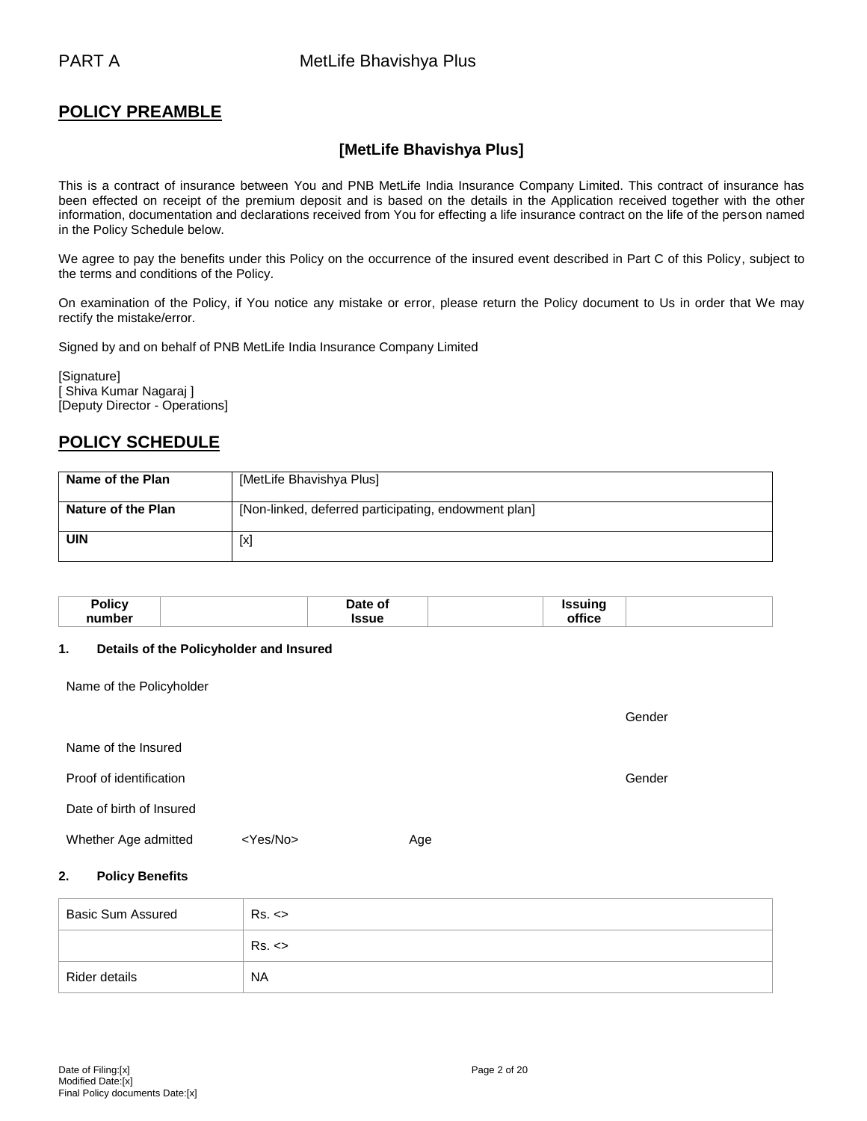# **POLICY PREAMBLE**

# **[MetLife Bhavishya Plus]**

This is a contract of insurance between You and PNB MetLife India Insurance Company Limited. This contract of insurance has been effected on receipt of the premium deposit and is based on the details in the Application received together with the other information, documentation and declarations received from You for effecting a life insurance contract on the life of the person named in the Policy Schedule below.

We agree to pay the benefits under this Policy on the occurrence of the insured event described in Part C of this Policy, subject to the terms and conditions of the Policy.

On examination of the Policy, if You notice any mistake or error, please return the Policy document to Us in order that We may rectify the mistake/error.

Signed by and on behalf of PNB MetLife India Insurance Company Limited

[Signature] [ Shiva Kumar Nagaraj ] [Deputy Director - Operations]

# **POLICY SCHEDULE**

| Name of the Plan          | [MetLife Bhavishya Plus]                             |
|---------------------------|------------------------------------------------------|
| <b>Nature of the Plan</b> | [Non-linked, deferred participating, endowment plan] |
| <b>UIN</b>                | [x]                                                  |

| Policy | Date of     | <b>Issuinc</b> |  |
|--------|-------------|----------------|--|
| number | <b>Ssue</b> | <br>⊿fice⊹     |  |

#### **1. Details of the Policyholder and Insured**

Name of the Policyholder

|                          |                   |     | Gender |
|--------------------------|-------------------|-----|--------|
| Name of the Insured      |                   |     |        |
| Proof of identification  |                   |     | Gender |
| Date of birth of Insured |                   |     |        |
| Whether Age admitted     | <yes no=""></yes> | Age |        |

## **2. Policy Benefits**

| <b>Basic Sum Assured</b> | Rs. <     |
|--------------------------|-----------|
|                          | Rs. <     |
| Rider details            | <b>NA</b> |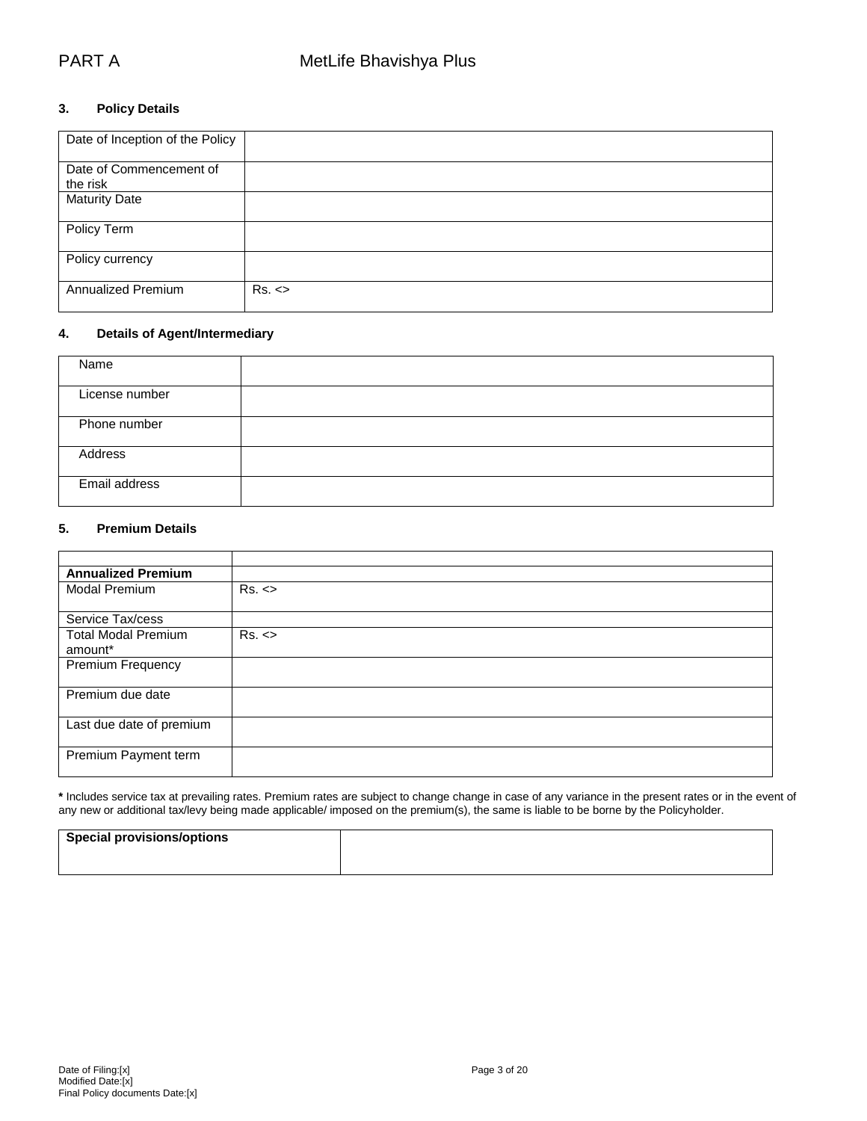## **3. Policy Details**

| Date of Inception of the Policy |       |
|---------------------------------|-------|
| Date of Commencement of         |       |
| the risk                        |       |
| <b>Maturity Date</b>            |       |
| Policy Term                     |       |
| Policy currency                 |       |
| Annualized Premium              | Rs. < |

## **4. Details of Agent/Intermediary**

| Name           |  |
|----------------|--|
| License number |  |
| Phone number   |  |
| Address        |  |
| Email address  |  |

#### **5. Premium Details**

| <b>Annualized Premium</b>  |       |
|----------------------------|-------|
| Modal Premium              | Rs. < |
|                            |       |
| Service Tax/cess           |       |
| <b>Total Modal Premium</b> | Rs. < |
| amount*                    |       |
| <b>Premium Frequency</b>   |       |
|                            |       |
| Premium due date           |       |
|                            |       |
| Last due date of premium   |       |
|                            |       |
| Premium Payment term       |       |
|                            |       |

**\*** Includes service tax at prevailing rates. Premium rates are subject to change change in case of any variance in the present rates or in the event of any new or additional tax/levy being made applicable/ imposed on the premium(s), the same is liable to be borne by the Policyholder.

| <b>Special provisions/options</b> |  |
|-----------------------------------|--|
|                                   |  |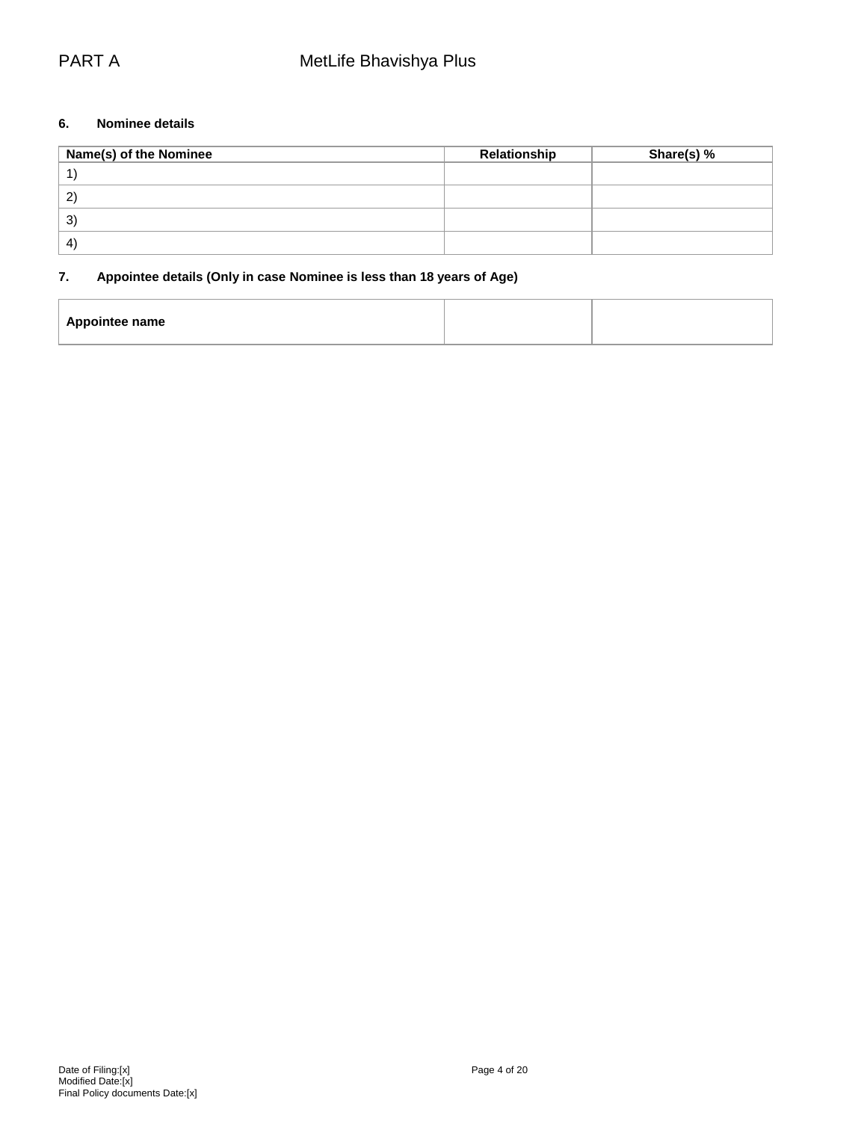## **6. Nominee details**

| Name(s) of the Nominee | Relationship | Share(s) % |
|------------------------|--------------|------------|
|                        |              |            |
| $\mathbf{2}^{\prime}$  |              |            |
| $\mathbf{3}^{\prime}$  |              |            |
| $\mathbf{4}^{\prime}$  |              |            |

# **7. Appointee details (Only in case Nominee is less than 18 years of Age)**

| Appointee name |  |
|----------------|--|
|                |  |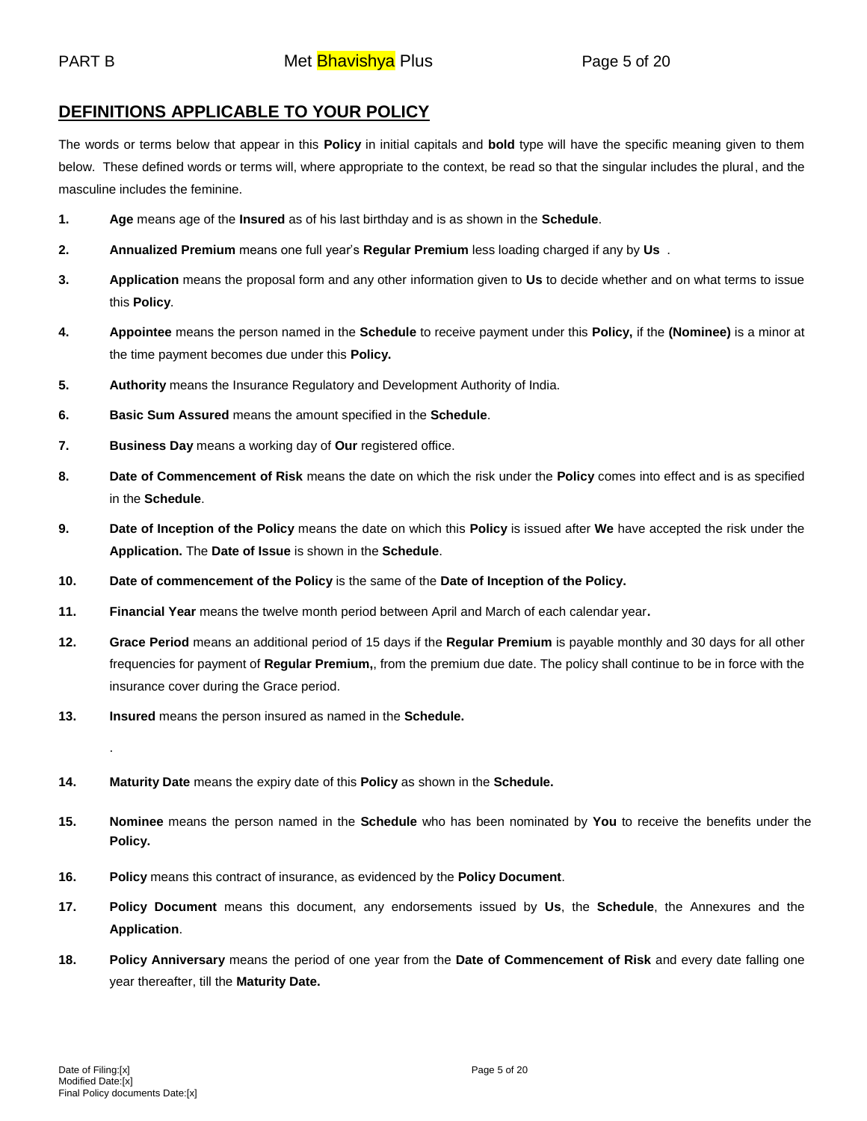# **DEFINITIONS APPLICABLE TO YOUR POLICY**

The words or terms below that appear in this **Policy** in initial capitals and **bold** type will have the specific meaning given to them below. These defined words or terms will, where appropriate to the context, be read so that the singular includes the plural, and the masculine includes the feminine.

- **1. Age** means age of the **Insured** as of his last birthday and is as shown in the **Schedule**.
- **2. Annualized Premium** means one full year's **Regular Premium** less loading charged if any by **Us** .
- **3. Application** means the proposal form and any other information given to **Us** to decide whether and on what terms to issue this **Policy**.
- **4. Appointee** means the person named in the **Schedule** to receive payment under this **Policy,** if the **(Nominee)** is a minor at the time payment becomes due under this **Policy.**
- **5. Authority** means the Insurance Regulatory and Development Authority of India.
- **6. Basic Sum Assured** means the amount specified in the **Schedule**.
- **7. Business Day** means a working day of **Our** registered office.
- **8. Date of Commencement of Risk** means the date on which the risk under the **Policy** comes into effect and is as specified in the **Schedule**.
- **9. Date of Inception of the Policy** means the date on which this **Policy** is issued after **We** have accepted the risk under the **Application.** The **Date of Issue** is shown in the **Schedule**.
- **10. Date of commencement of the Policy** is the same of the **Date of Inception of the Policy.**
- **11. Financial Year** means the twelve month period between April and March of each calendar year**.**
- **12. Grace Period** means an additional period of 15 days if the **Regular Premium** is payable monthly and 30 days for all other frequencies for payment of **Regular Premium,**, from the premium due date. The policy shall continue to be in force with the insurance cover during the Grace period.
- **13. Insured** means the person insured as named in the **Schedule.**
- **14. Maturity Date** means the expiry date of this **Policy** as shown in the **Schedule.**
- **15. Nominee** means the person named in the **Schedule** who has been nominated by **You** to receive the benefits under the **Policy.**
- **16. Policy** means this contract of insurance, as evidenced by the **Policy Document**.
- **17. Policy Document** means this document, any endorsements issued by **Us**, the **Schedule**, the Annexures and the **Application**.
- **18. Policy Anniversary** means the period of one year from the **Date of Commencement of Risk** and every date falling one year thereafter, till the **Maturity Date.**

.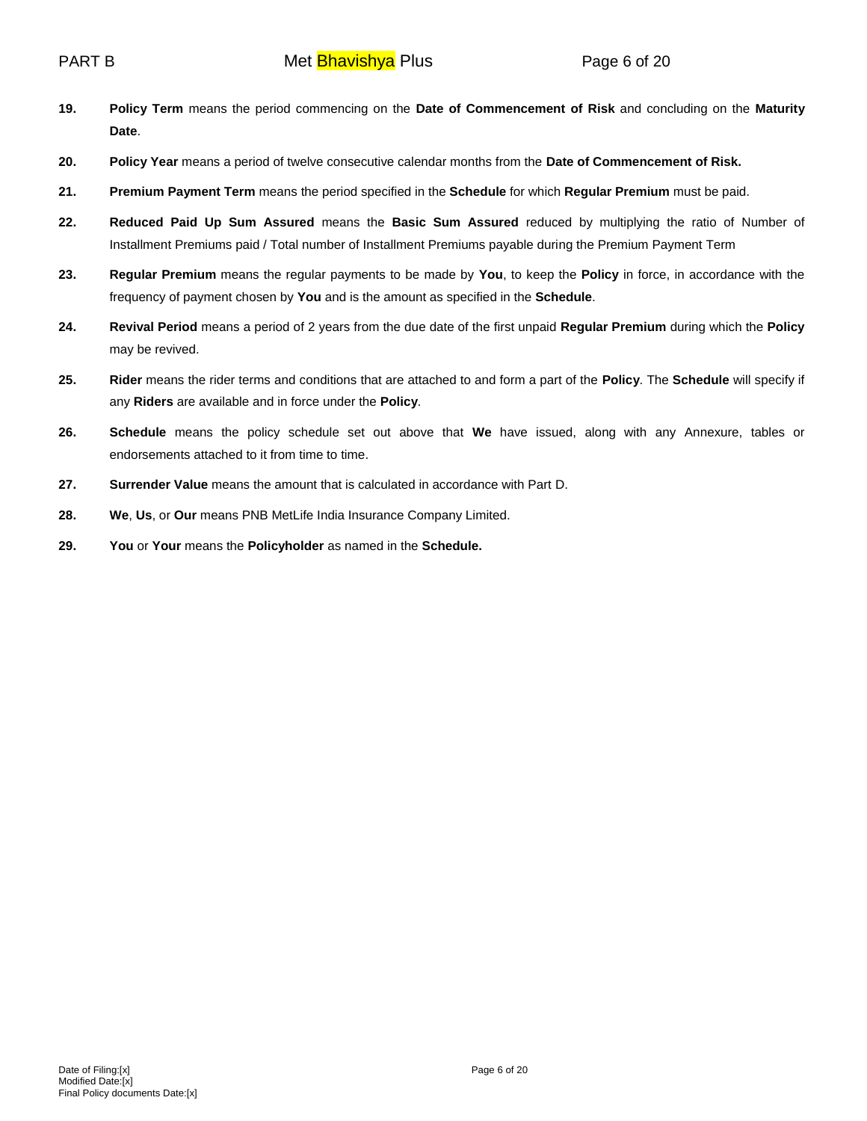- **19. Policy Term** means the period commencing on the **Date of Commencement of Risk** and concluding on the **Maturity Date**.
- **20. Policy Year** means a period of twelve consecutive calendar months from the **Date of Commencement of Risk.**
- **21. Premium Payment Term** means the period specified in the **Schedule** for which **Regular Premium** must be paid.
- **22. Reduced Paid Up Sum Assured** means the **Basic Sum Assured** reduced by multiplying the ratio of Number of Installment Premiums paid / Total number of Installment Premiums payable during the Premium Payment Term
- **23. Regular Premium** means the regular payments to be made by **You**, to keep the **Policy** in force, in accordance with the frequency of payment chosen by **You** and is the amount as specified in the **Schedule**.
- **24. Revival Period** means a period of 2 years from the due date of the first unpaid **Regular Premium** during which the **Policy** may be revived.
- **25. Rider** means the rider terms and conditions that are attached to and form a part of the **Policy**. The **Schedule** will specify if any **Riders** are available and in force under the **Policy**.
- **26. Schedule** means the policy schedule set out above that **We** have issued, along with any Annexure, tables or endorsements attached to it from time to time.
- **27. Surrender Value** means the amount that is calculated in accordance with Part D.
- **28. We**, **Us**, or **Our** means PNB MetLife India Insurance Company Limited.
- **29. You** or **Your** means the **Policyholder** as named in the **Schedule.**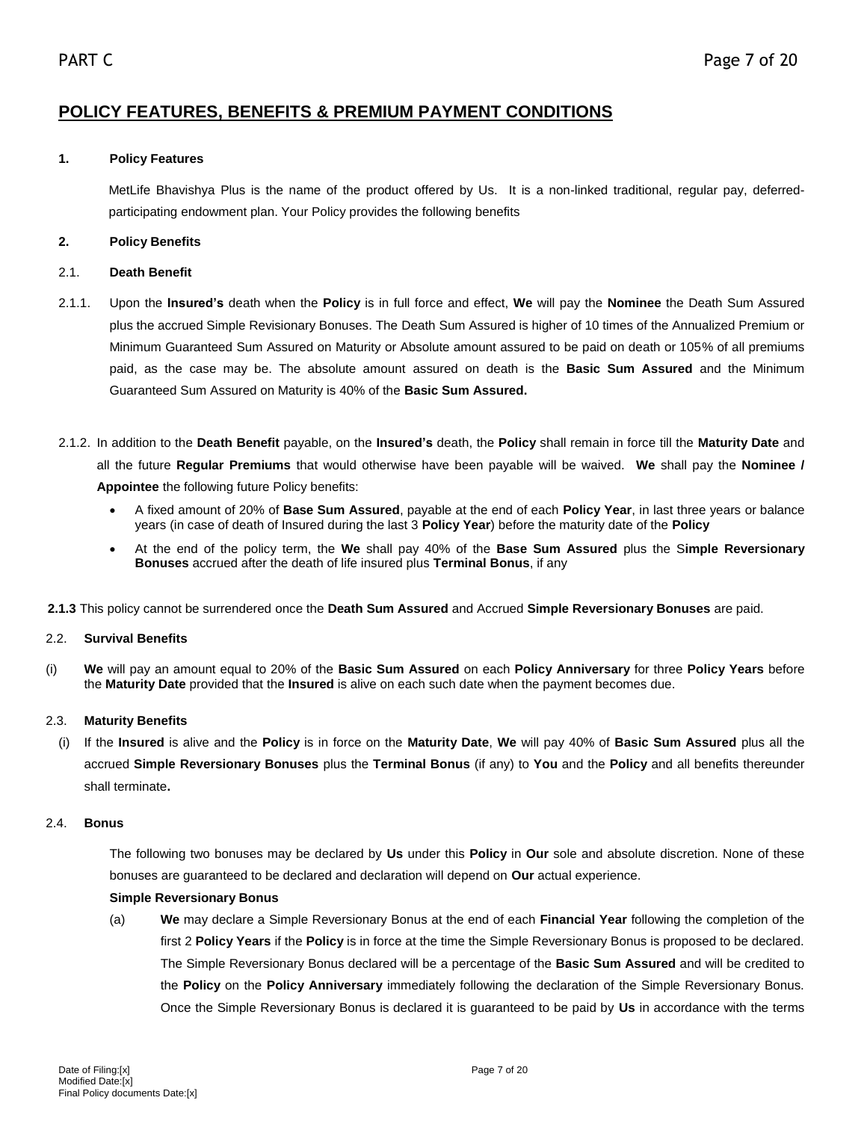# **POLICY FEATURES, BENEFITS & PREMIUM PAYMENT CONDITIONS**

# **1. Policy Features**

MetLife Bhavishya Plus is the name of the product offered by Us. It is a non-linked traditional, regular pay, deferredparticipating endowment plan. Your Policy provides the following benefits

# **2. Policy Benefits**

# 2.1. **Death Benefit**

- 2.1.1. Upon the **Insured's** death when the **Policy** is in full force and effect, **We** will pay the **Nominee** the Death Sum Assured plus the accrued Simple Revisionary Bonuses. The Death Sum Assured is higher of 10 times of the Annualized Premium or Minimum Guaranteed Sum Assured on Maturity or Absolute amount assured to be paid on death or 105% of all premiums paid, as the case may be. The absolute amount assured on death is the **Basic Sum Assured** and the Minimum Guaranteed Sum Assured on Maturity is 40% of the **Basic Sum Assured.**
- 2.1.2. In addition to the **Death Benefit** payable, on the **Insured's** death, the **Policy** shall remain in force till the **Maturity Date** and all the future **Regular Premiums** that would otherwise have been payable will be waived. **We** shall pay the **Nominee / Appointee** the following future Policy benefits:
	- A fixed amount of 20% of **Base Sum Assured**, payable at the end of each **Policy Year**, in last three years or balance years (in case of death of Insured during the last 3 **Policy Year**) before the maturity date of the **Policy**
	- At the end of the policy term, the **We** shall pay 40% of the **Base Sum Assured** plus the S**imple Reversionary Bonuses** accrued after the death of life insured plus **Terminal Bonus**, if any
- **2.1.3** This policy cannot be surrendered once the **Death Sum Assured** and Accrued **Simple Reversionary Bonuses** are paid.

# 2.2. **Survival Benefits**

(i) **We** will pay an amount equal to 20% of the **Basic Sum Assured** on each **Policy Anniversary** for three **Policy Years** before the **Maturity Date** provided that the **Insured** is alive on each such date when the payment becomes due.

# 2.3. **Maturity Benefits**

(i) If the **Insured** is alive and the **Policy** is in force on the **Maturity Date**, **We** will pay 40% of **Basic Sum Assured** plus all the accrued **Simple Reversionary Bonuses** plus the **Terminal Bonus** (if any) to **You** and the **Policy** and all benefits thereunder shall terminate**.**

# 2.4. **Bonus**

The following two bonuses may be declared by **Us** under this **Policy** in **Our** sole and absolute discretion. None of these bonuses are guaranteed to be declared and declaration will depend on **Our** actual experience.

# **Simple Reversionary Bonus**

(a) **We** may declare a Simple Reversionary Bonus at the end of each **Financial Year** following the completion of the first 2 **Policy Years** if the **Policy** is in force at the time the Simple Reversionary Bonus is proposed to be declared. The Simple Reversionary Bonus declared will be a percentage of the **Basic Sum Assured** and will be credited to the **Policy** on the **Policy Anniversary** immediately following the declaration of the Simple Reversionary Bonus. Once the Simple Reversionary Bonus is declared it is guaranteed to be paid by **Us** in accordance with the terms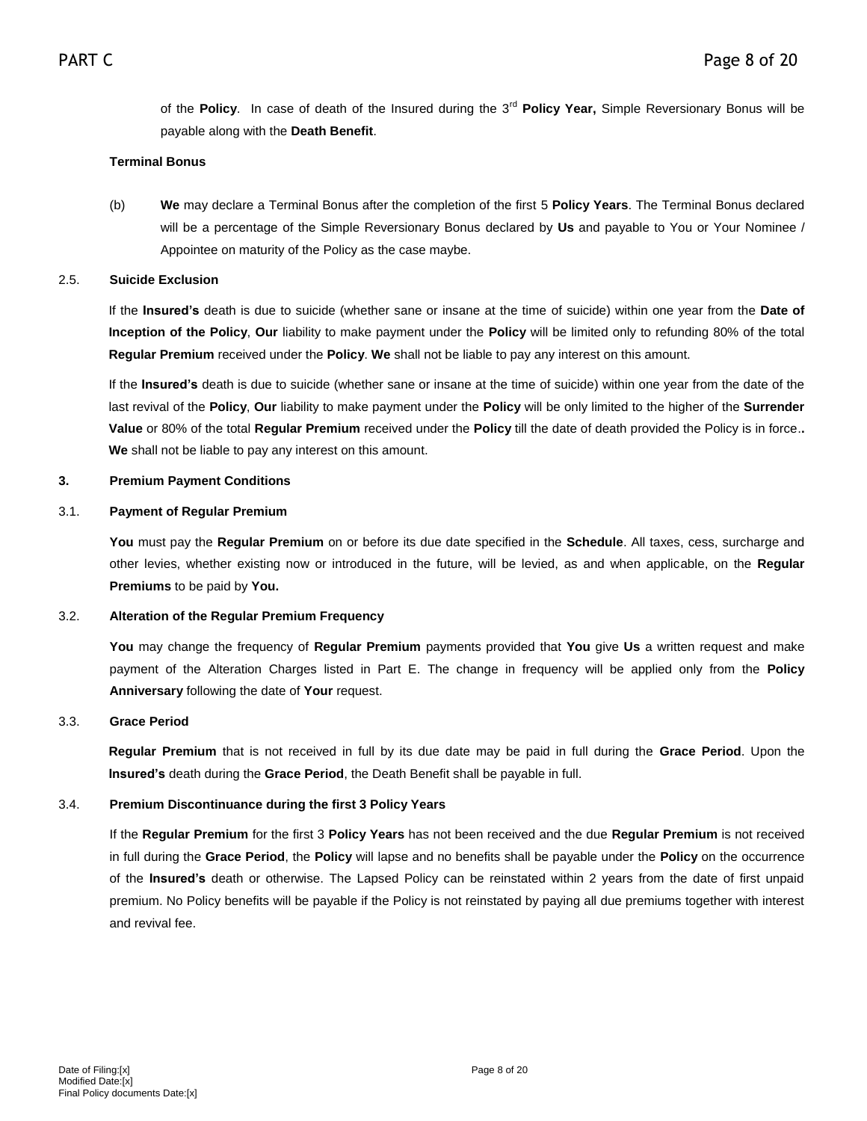of the **Policy**. In case of death of the Insured during the 3<sup>rd</sup> Policy Year, Simple Reversionary Bonus will be payable along with the **Death Benefit**.

## **Terminal Bonus**

(b) **We** may declare a Terminal Bonus after the completion of the first 5 **Policy Years**. The Terminal Bonus declared will be a percentage of the Simple Reversionary Bonus declared by **Us** and payable to You or Your Nominee / Appointee on maturity of the Policy as the case maybe.

### 2.5. **Suicide Exclusion**

If the **Insured's** death is due to suicide (whether sane or insane at the time of suicide) within one year from the **Date of Inception of the Policy**, **Our** liability to make payment under the **Policy** will be limited only to refunding 80% of the total **Regular Premium** received under the **Policy**. **We** shall not be liable to pay any interest on this amount.

If the **Insured's** death is due to suicide (whether sane or insane at the time of suicide) within one year from the date of the last revival of the **Policy**, **Our** liability to make payment under the **Policy** will be only limited to the higher of the **Surrender Value** or 80% of the total **Regular Premium** received under the **Policy** till the date of death provided the Policy is in force.**. We** shall not be liable to pay any interest on this amount.

### **3. Premium Payment Conditions**

### 3.1. **Payment of Regular Premium**

**You** must pay the **Regular Premium** on or before its due date specified in the **Schedule**. All taxes, cess, surcharge and other levies, whether existing now or introduced in the future, will be levied, as and when applicable, on the **Regular Premiums** to be paid by **You.**

## 3.2. **Alteration of the Regular Premium Frequency**

**You** may change the frequency of **Regular Premium** payments provided that **You** give **Us** a written request and make payment of the Alteration Charges listed in Part E. The change in frequency will be applied only from the **Policy Anniversary** following the date of **Your** request.

#### 3.3. **Grace Period**

**Regular Premium** that is not received in full by its due date may be paid in full during the **Grace Period**. Upon the **Insured's** death during the **Grace Period**, the Death Benefit shall be payable in full.

## 3.4. **Premium Discontinuance during the first 3 Policy Years**

If the **Regular Premium** for the first 3 **Policy Years** has not been received and the due **Regular Premium** is not received in full during the **Grace Period**, the **Policy** will lapse and no benefits shall be payable under the **Policy** on the occurrence of the **Insured's** death or otherwise. The Lapsed Policy can be reinstated within 2 years from the date of first unpaid premium. No Policy benefits will be payable if the Policy is not reinstated by paying all due premiums together with interest and revival fee.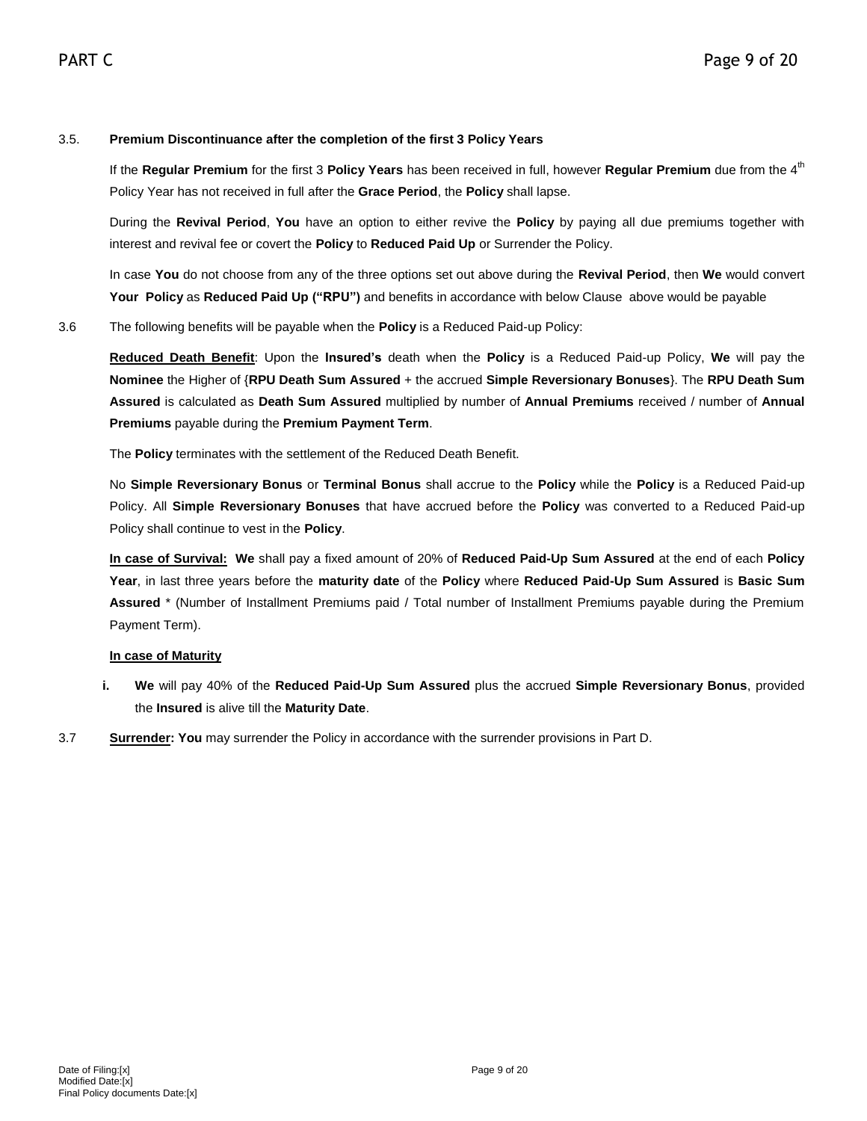## 3.5. **Premium Discontinuance after the completion of the first 3 Policy Years**

If the Regular Premium for the first 3 Policy Years has been received in full, however Regular Premium due from the 4<sup>th</sup> Policy Year has not received in full after the **Grace Period**, the **Policy** shall lapse.

During the **Revival Period**, **You** have an option to either revive the **Policy** by paying all due premiums together with interest and revival fee or covert the **Policy** to **Reduced Paid Up** or Surrender the Policy.

In case **You** do not choose from any of the three options set out above during the **Revival Period**, then **We** would convert **Your Policy** as **Reduced Paid Up ("RPU")** and benefits in accordance with below Clause above would be payable

#### 3.6 The following benefits will be payable when the **Policy** is a Reduced Paid-up Policy:

**Reduced Death Benefit**: Upon the **Insured's** death when the **Policy** is a Reduced Paid-up Policy, **We** will pay the **Nominee** the Higher of {**RPU Death Sum Assured** + the accrued **Simple Reversionary Bonuses**}. The **RPU Death Sum Assured** is calculated as **Death Sum Assured** multiplied by number of **Annual Premiums** received / number of **Annual Premiums** payable during the **Premium Payment Term**.

The **Policy** terminates with the settlement of the Reduced Death Benefit.

No **Simple Reversionary Bonus** or **Terminal Bonus** shall accrue to the **Policy** while the **Policy** is a Reduced Paid-up Policy. All **Simple Reversionary Bonuses** that have accrued before the **Policy** was converted to a Reduced Paid-up Policy shall continue to vest in the **Policy**.

**In case of Survival: We** shall pay a fixed amount of 20% of **Reduced Paid-Up Sum Assured** at the end of each **Policy Year**, in last three years before the **maturity date** of the **Policy** where **Reduced Paid-Up Sum Assured** is **Basic Sum Assured** \* (Number of Installment Premiums paid / Total number of Installment Premiums payable during the Premium Payment Term).

#### **In case of Maturity**

- **i. We** will pay 40% of the **Reduced Paid-Up Sum Assured** plus the accrued **Simple Reversionary Bonus**, provided the **Insured** is alive till the **Maturity Date**.
- 3.7 **Surrender: You** may surrender the Policy in accordance with the surrender provisions in Part D.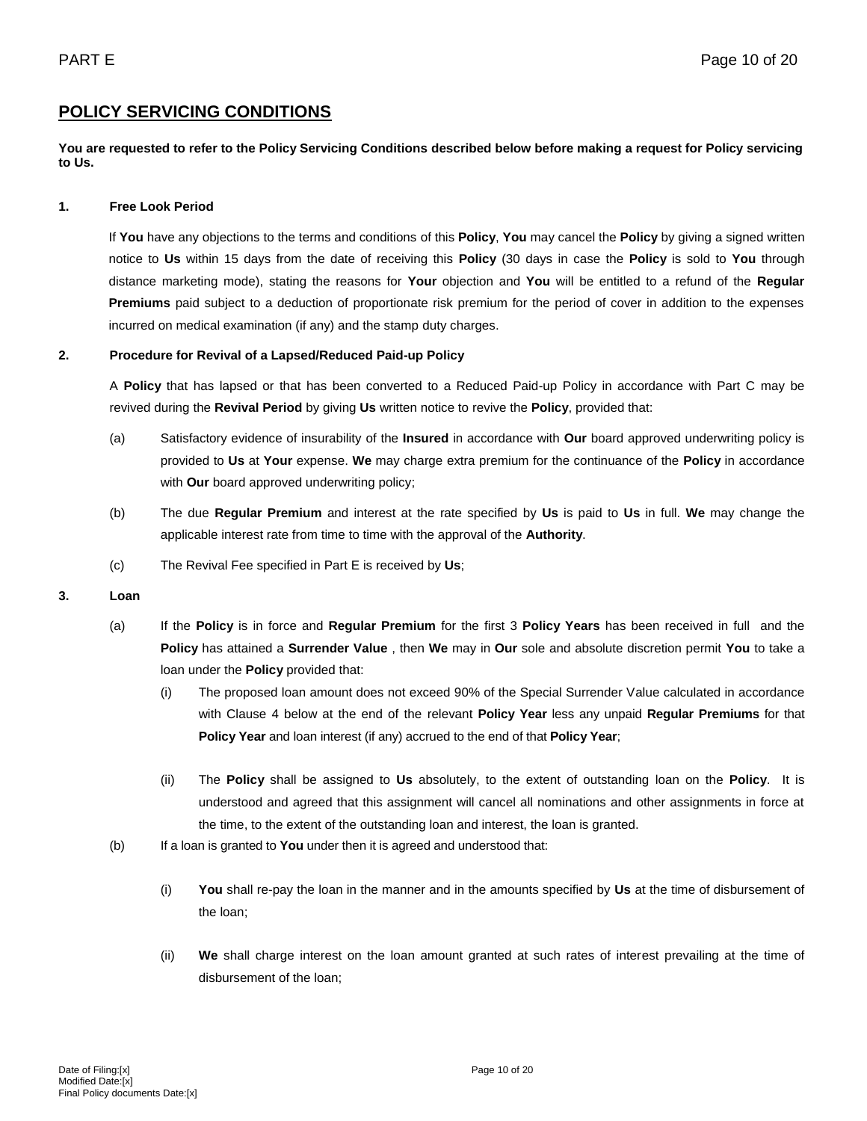# **POLICY SERVICING CONDITIONS**

**You are requested to refer to the Policy Servicing Conditions described below before making a request for Policy servicing to Us.**

#### **1. Free Look Period**

If **You** have any objections to the terms and conditions of this **Policy**, **You** may cancel the **Policy** by giving a signed written notice to **Us** within 15 days from the date of receiving this **Policy** (30 days in case the **Policy** is sold to **You** through distance marketing mode), stating the reasons for **Your** objection and **You** will be entitled to a refund of the **Regular Premiums** paid subject to a deduction of proportionate risk premium for the period of cover in addition to the expenses incurred on medical examination (if any) and the stamp duty charges.

#### **2. Procedure for Revival of a Lapsed/Reduced Paid-up Policy**

A **Policy** that has lapsed or that has been converted to a Reduced Paid-up Policy in accordance with Part C may be revived during the **Revival Period** by giving **Us** written notice to revive the **Policy**, provided that:

- (a) Satisfactory evidence of insurability of the **Insured** in accordance with **Our** board approved underwriting policy is provided to **Us** at **Your** expense. **We** may charge extra premium for the continuance of the **Policy** in accordance with **Our** board approved underwriting policy;
- (b) The due **Regular Premium** and interest at the rate specified by **Us** is paid to **Us** in full. **We** may change the applicable interest rate from time to time with the approval of the **Authority**.
- (c) The Revival Fee specified in Part E is received by **Us**;

## **3. Loan**

- (a) If the **Policy** is in force and **Regular Premium** for the first 3 **Policy Years** has been received in full and the **Policy** has attained a **Surrender Value** , then **We** may in **Our** sole and absolute discretion permit **You** to take a loan under the **Policy** provided that:
	- (i) The proposed loan amount does not exceed 90% of the Special Surrender Value calculated in accordance with Clause 4 below at the end of the relevant **Policy Year** less any unpaid **Regular Premiums** for that **Policy Year** and loan interest (if any) accrued to the end of that **Policy Year**;
	- (ii) The **Policy** shall be assigned to **Us** absolutely, to the extent of outstanding loan on the **Policy**. It is understood and agreed that this assignment will cancel all nominations and other assignments in force at the time, to the extent of the outstanding loan and interest, the loan is granted.
- (b) If a loan is granted to **You** under then it is agreed and understood that:
	- (i) **You** shall re-pay the loan in the manner and in the amounts specified by **Us** at the time of disbursement of the loan;
	- (ii) **We** shall charge interest on the loan amount granted at such rates of interest prevailing at the time of disbursement of the loan;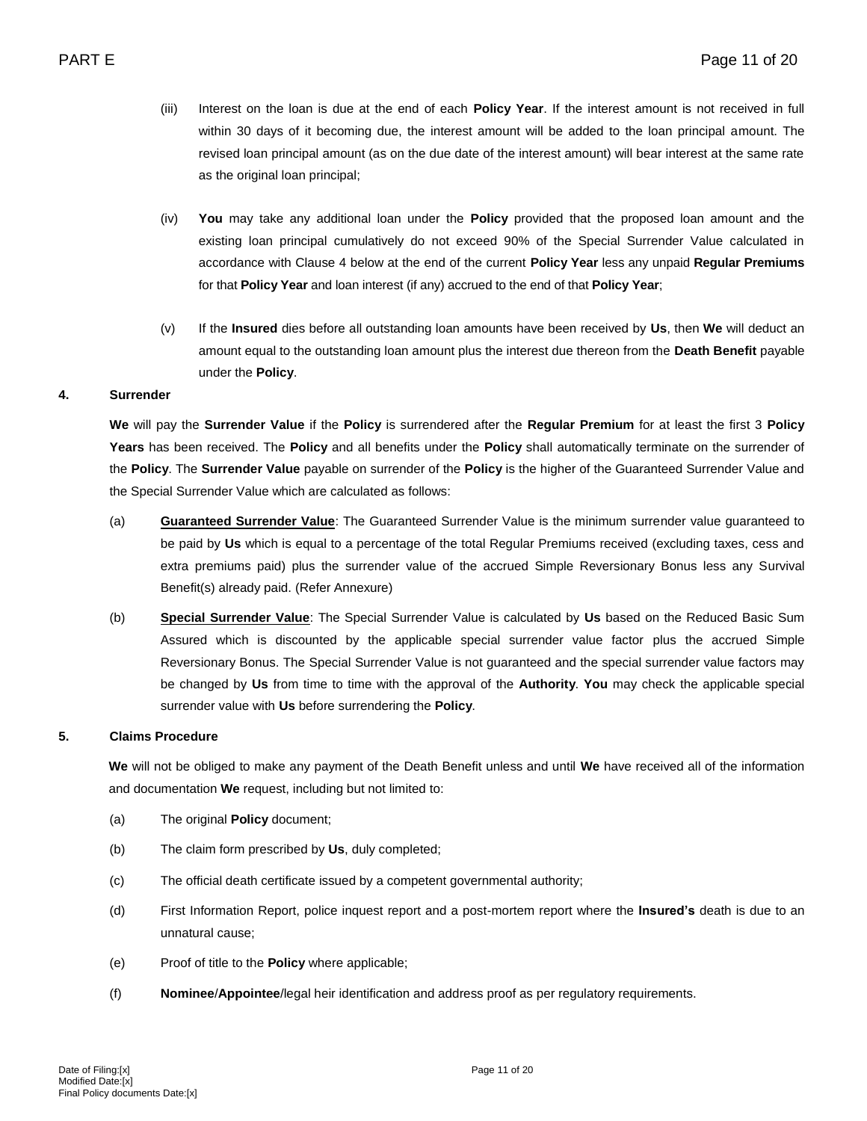- (iii) Interest on the loan is due at the end of each **Policy Year**. If the interest amount is not received in full within 30 days of it becoming due, the interest amount will be added to the loan principal amount. The revised loan principal amount (as on the due date of the interest amount) will bear interest at the same rate as the original loan principal;
- (iv) **You** may take any additional loan under the **Policy** provided that the proposed loan amount and the existing loan principal cumulatively do not exceed 90% of the Special Surrender Value calculated in accordance with Clause 4 below at the end of the current **Policy Year** less any unpaid **Regular Premiums** for that **Policy Year** and loan interest (if any) accrued to the end of that **Policy Year**;
- (v) If the **Insured** dies before all outstanding loan amounts have been received by **Us**, then **We** will deduct an amount equal to the outstanding loan amount plus the interest due thereon from the **Death Benefit** payable under the **Policy**.

### **4. Surrender**

**We** will pay the **Surrender Value** if the **Policy** is surrendered after the **Regular Premium** for at least the first 3 **Policy Years** has been received. The **Policy** and all benefits under the **Policy** shall automatically terminate on the surrender of the **Policy**. The **Surrender Value** payable on surrender of the **Policy** is the higher of the Guaranteed Surrender Value and the Special Surrender Value which are calculated as follows:

- (a) **Guaranteed Surrender Value**: The Guaranteed Surrender Value is the minimum surrender value guaranteed to be paid by **Us** which is equal to a percentage of the total Regular Premiums received (excluding taxes, cess and extra premiums paid) plus the surrender value of the accrued Simple Reversionary Bonus less any Survival Benefit(s) already paid. (Refer Annexure)
- (b) **Special Surrender Value**: The Special Surrender Value is calculated by **Us** based on the Reduced Basic Sum Assured which is discounted by the applicable special surrender value factor plus the accrued Simple Reversionary Bonus. The Special Surrender Value is not guaranteed and the special surrender value factors may be changed by **Us** from time to time with the approval of the **Authority**. **You** may check the applicable special surrender value with **Us** before surrendering the **Policy**.

## **5. Claims Procedure**

**We** will not be obliged to make any payment of the Death Benefit unless and until **We** have received all of the information and documentation **We** request, including but not limited to:

- (a) The original **Policy** document;
- (b) The claim form prescribed by **Us**, duly completed;
- (c) The official death certificate issued by a competent governmental authority;
- (d) First Information Report, police inquest report and a post-mortem report where the **Insured's** death is due to an unnatural cause;
- (e) Proof of title to the **Policy** where applicable;
- (f) **Nominee**/**Appointee**/legal heir identification and address proof as per regulatory requirements.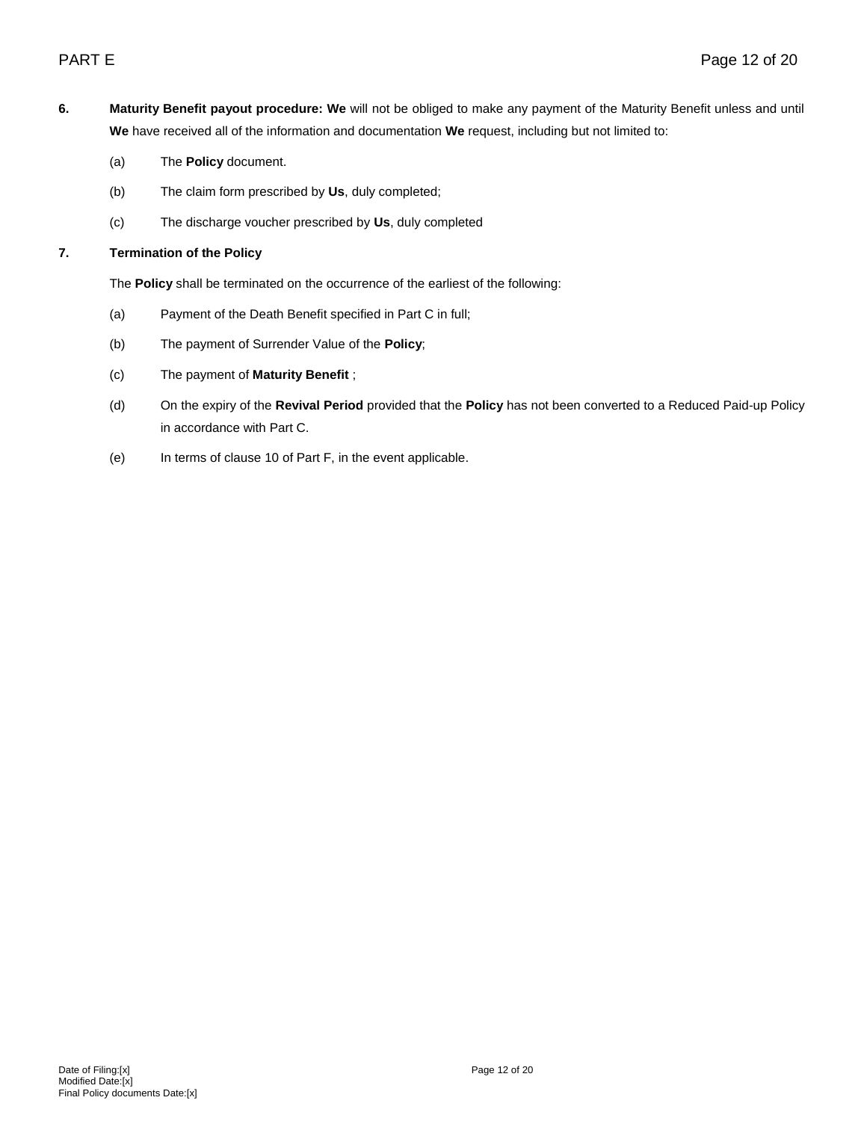- **6. Maturity Benefit payout procedure: We** will not be obliged to make any payment of the Maturity Benefit unless and until **We** have received all of the information and documentation **We** request, including but not limited to:
	- (a) The **Policy** document.
	- (b) The claim form prescribed by **Us**, duly completed;
	- (c) The discharge voucher prescribed by **Us**, duly completed

## **7. Termination of the Policy**

The **Policy** shall be terminated on the occurrence of the earliest of the following:

- (a) Payment of the Death Benefit specified in Part C in full;
- (b) The payment of Surrender Value of the **Policy**;
- (c) The payment of **Maturity Benefit** ;
- (d) On the expiry of the **Revival Period** provided that the **Policy** has not been converted to a Reduced Paid-up Policy in accordance with Part C.
- (e) In terms of clause 10 of Part F, in the event applicable.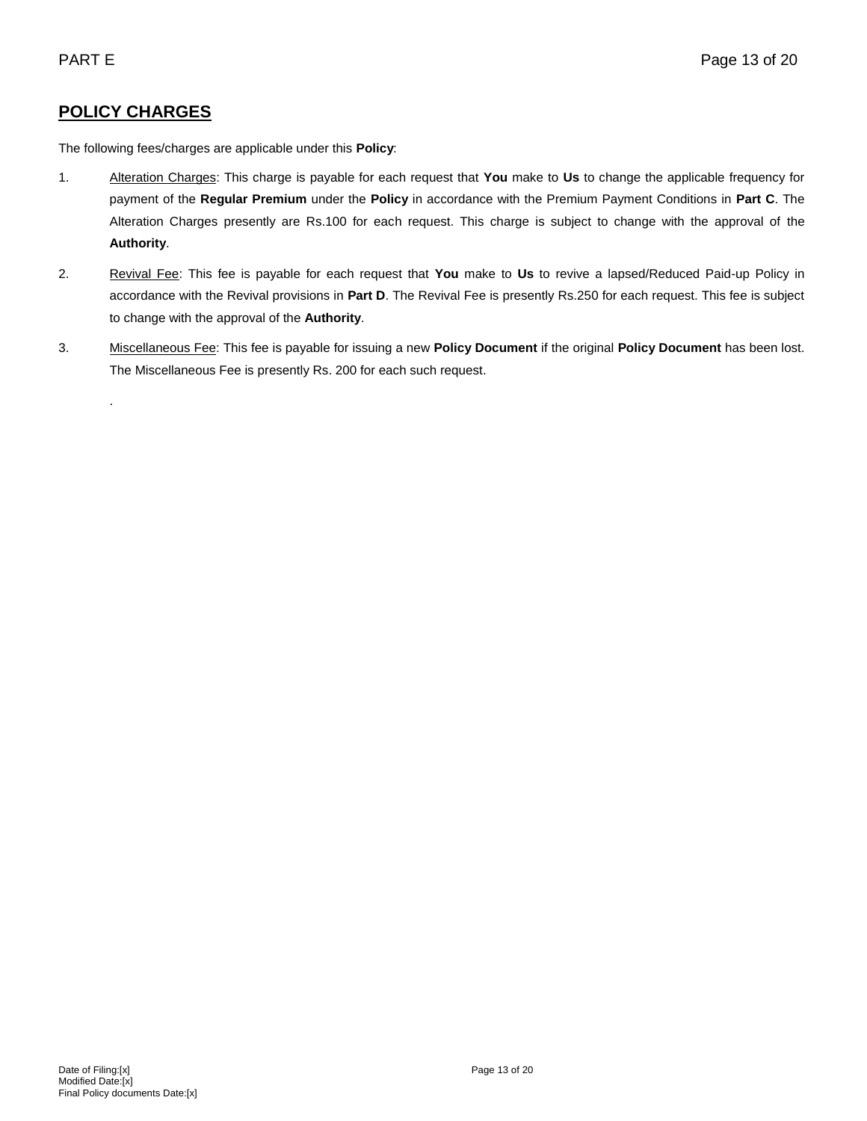# **POLICY CHARGES**

.

The following fees/charges are applicable under this **Policy**:

- 1. Alteration Charges: This charge is payable for each request that **You** make to **Us** to change the applicable frequency for payment of the **Regular Premium** under the **Policy** in accordance with the Premium Payment Conditions in **Part C**. The Alteration Charges presently are Rs.100 for each request. This charge is subject to change with the approval of the **Authority**.
- 2. Revival Fee: This fee is payable for each request that **You** make to **Us** to revive a lapsed/Reduced Paid-up Policy in accordance with the Revival provisions in **Part D**. The Revival Fee is presently Rs.250 for each request. This fee is subject to change with the approval of the **Authority**.
- 3. Miscellaneous Fee: This fee is payable for issuing a new **Policy Document** if the original **Policy Document** has been lost. The Miscellaneous Fee is presently Rs. 200 for each such request.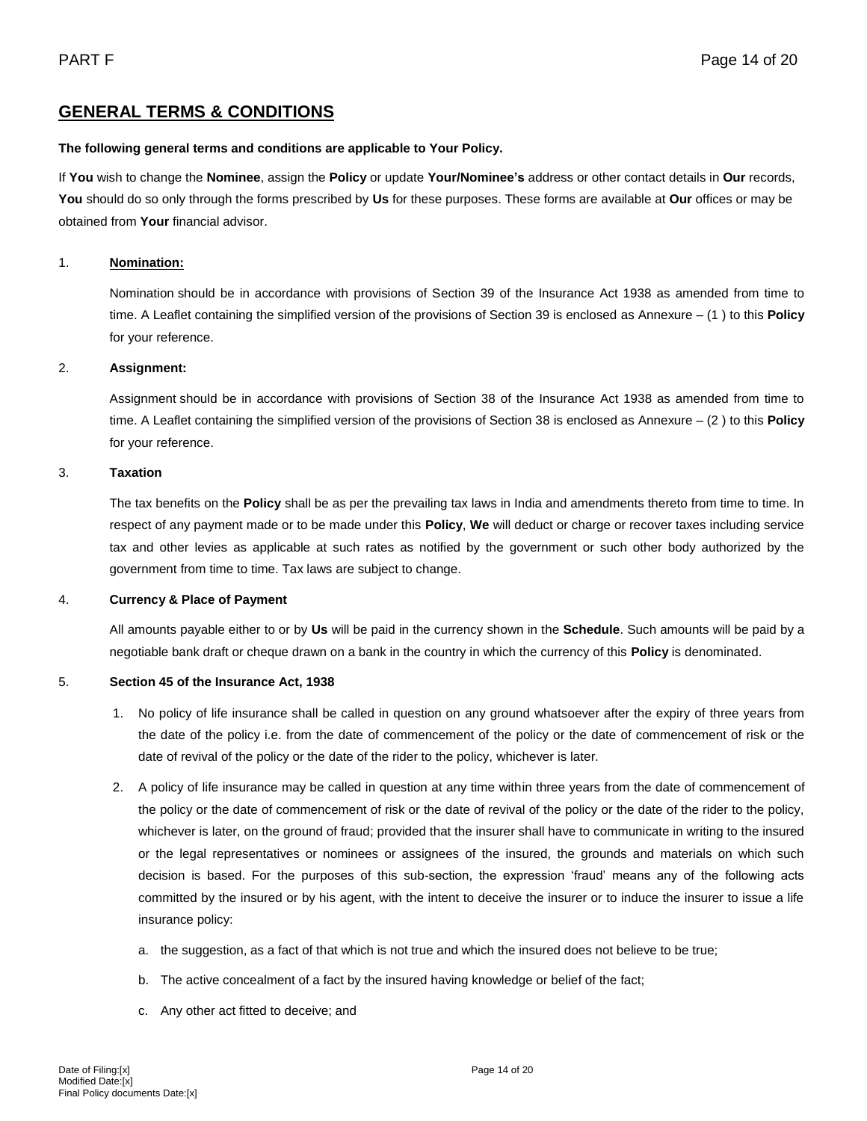# **GENERAL TERMS & CONDITIONS**

# **The following general terms and conditions are applicable to Your Policy.**

If **You** wish to change the **Nominee**, assign the **Policy** or update **Your/Nominee's** address or other contact details in **Our** records, **You** should do so only through the forms prescribed by **Us** for these purposes. These forms are available at **Our** offices or may be obtained from **Your** financial advisor.

# 1. **Nomination:**

Nomination should be in accordance with provisions of Section 39 of the Insurance Act 1938 as amended from time to time. A Leaflet containing the simplified version of the provisions of Section 39 is enclosed as Annexure – (1 ) to this **Policy** for your reference.

## 2. **Assignment:**

Assignment should be in accordance with provisions of Section 38 of the Insurance Act 1938 as amended from time to time. A Leaflet containing the simplified version of the provisions of Section 38 is enclosed as Annexure – (2 ) to this **Policy** for your reference.

### 3. **Taxation**

The tax benefits on the **Policy** shall be as per the prevailing tax laws in India and amendments thereto from time to time. In respect of any payment made or to be made under this **Policy**, **We** will deduct or charge or recover taxes including service tax and other levies as applicable at such rates as notified by the government or such other body authorized by the government from time to time. Tax laws are subject to change.

## 4. **Currency & Place of Payment**

All amounts payable either to or by **Us** will be paid in the currency shown in the **Schedule**. Such amounts will be paid by a negotiable bank draft or cheque drawn on a bank in the country in which the currency of this **Policy** is denominated.

## 5. **Section 45 of the Insurance Act, 1938**

- 1. No policy of life insurance shall be called in question on any ground whatsoever after the expiry of three years from the date of the policy i.e. from the date of commencement of the policy or the date of commencement of risk or the date of revival of the policy or the date of the rider to the policy, whichever is later.
- 2. A policy of life insurance may be called in question at any time within three years from the date of commencement of the policy or the date of commencement of risk or the date of revival of the policy or the date of the rider to the policy, whichever is later, on the ground of fraud; provided that the insurer shall have to communicate in writing to the insured or the legal representatives or nominees or assignees of the insured, the grounds and materials on which such decision is based. For the purposes of this sub-section, the expression 'fraud' means any of the following acts committed by the insured or by his agent, with the intent to deceive the insurer or to induce the insurer to issue a life insurance policy:
	- a. the suggestion, as a fact of that which is not true and which the insured does not believe to be true;
	- b. The active concealment of a fact by the insured having knowledge or belief of the fact;
	- c. Any other act fitted to deceive; and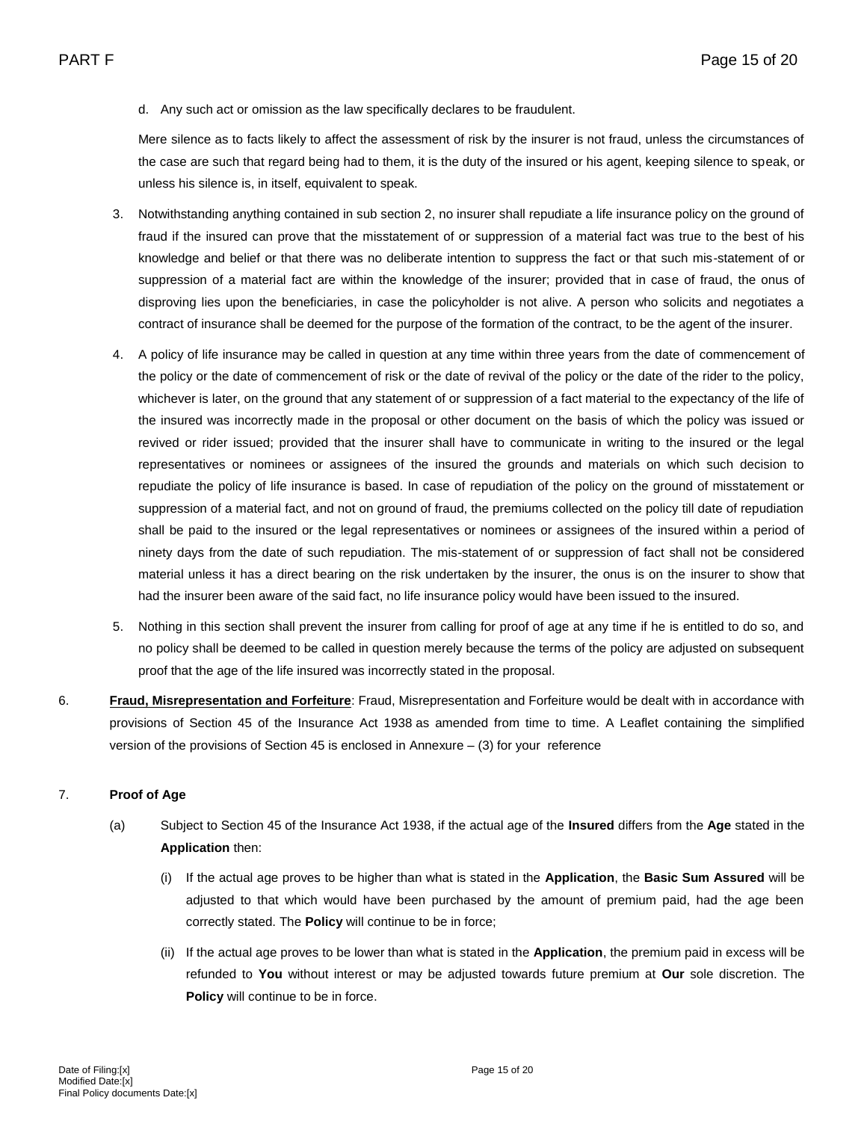### d. Any such act or omission as the law specifically declares to be fraudulent.

Mere silence as to facts likely to affect the assessment of risk by the insurer is not fraud, unless the circumstances of the case are such that regard being had to them, it is the duty of the insured or his agent, keeping silence to speak, or unless his silence is, in itself, equivalent to speak.

- 3. Notwithstanding anything contained in sub section 2, no insurer shall repudiate a life insurance policy on the ground of fraud if the insured can prove that the misstatement of or suppression of a material fact was true to the best of his knowledge and belief or that there was no deliberate intention to suppress the fact or that such mis-statement of or suppression of a material fact are within the knowledge of the insurer; provided that in case of fraud, the onus of disproving lies upon the beneficiaries, in case the policyholder is not alive. A person who solicits and negotiates a contract of insurance shall be deemed for the purpose of the formation of the contract, to be the agent of the insurer.
- 4. A policy of life insurance may be called in question at any time within three years from the date of commencement of the policy or the date of commencement of risk or the date of revival of the policy or the date of the rider to the policy, whichever is later, on the ground that any statement of or suppression of a fact material to the expectancy of the life of the insured was incorrectly made in the proposal or other document on the basis of which the policy was issued or revived or rider issued; provided that the insurer shall have to communicate in writing to the insured or the legal representatives or nominees or assignees of the insured the grounds and materials on which such decision to repudiate the policy of life insurance is based. In case of repudiation of the policy on the ground of misstatement or suppression of a material fact, and not on ground of fraud, the premiums collected on the policy till date of repudiation shall be paid to the insured or the legal representatives or nominees or assignees of the insured within a period of ninety days from the date of such repudiation. The mis-statement of or suppression of fact shall not be considered material unless it has a direct bearing on the risk undertaken by the insurer, the onus is on the insurer to show that had the insurer been aware of the said fact, no life insurance policy would have been issued to the insured.
- 5. Nothing in this section shall prevent the insurer from calling for proof of age at any time if he is entitled to do so, and no policy shall be deemed to be called in question merely because the terms of the policy are adjusted on subsequent proof that the age of the life insured was incorrectly stated in the proposal.
- 6. **Fraud, Misrepresentation and Forfeiture**: Fraud, Misrepresentation and Forfeiture would be dealt with in accordance with provisions of Section 45 of the Insurance Act 1938 as amended from time to time. A Leaflet containing the simplified version of the provisions of Section 45 is enclosed in Annexure – (3) for your reference

## 7. **Proof of Age**

- (a) Subject to Section 45 of the Insurance Act 1938, if the actual age of the **Insured** differs from the **Age** stated in the **Application** then:
	- (i) If the actual age proves to be higher than what is stated in the **Application**, the **Basic Sum Assured** will be adjusted to that which would have been purchased by the amount of premium paid, had the age been correctly stated. The **Policy** will continue to be in force;
	- (ii) If the actual age proves to be lower than what is stated in the **Application**, the premium paid in excess will be refunded to **You** without interest or may be adjusted towards future premium at **Our** sole discretion. The **Policy** will continue to be in force.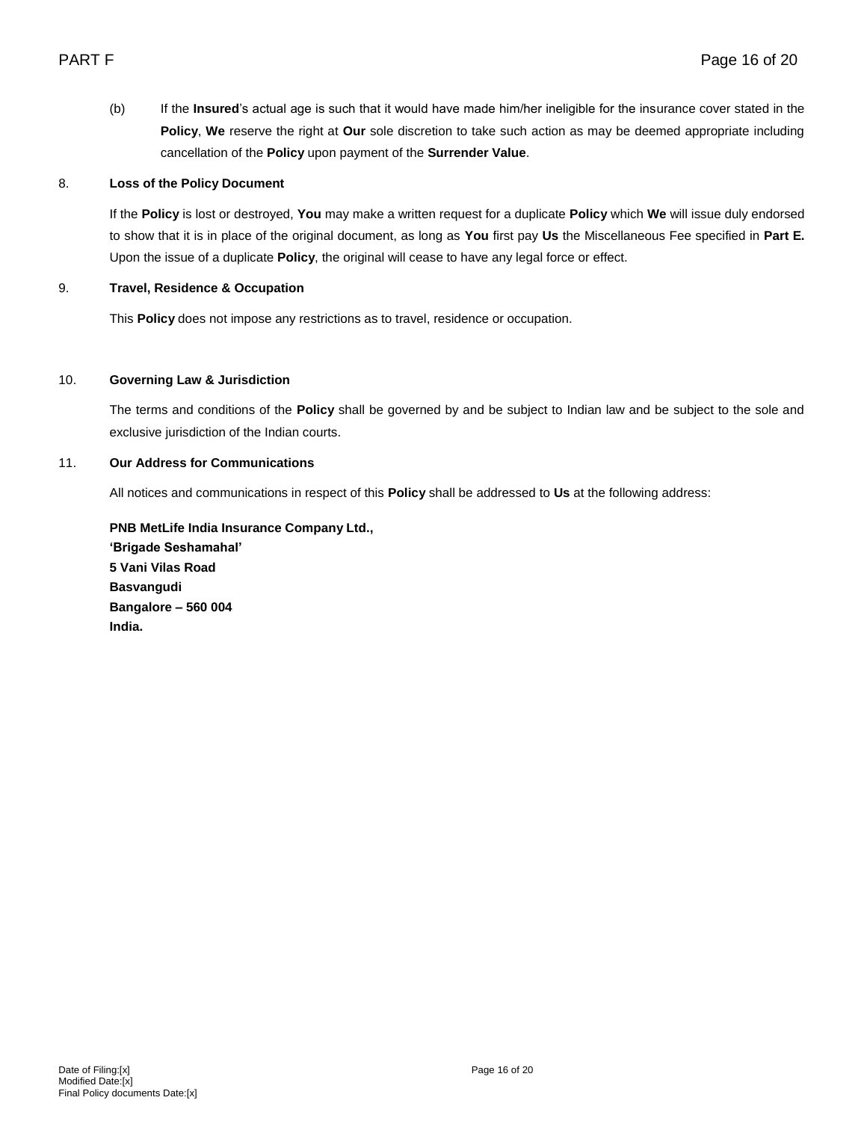(b) If the **Insured**'s actual age is such that it would have made him/her ineligible for the insurance cover stated in the **Policy**, **We** reserve the right at **Our** sole discretion to take such action as may be deemed appropriate including cancellation of the **Policy** upon payment of the **Surrender Value**.

## 8. **Loss of the Policy Document**

If the **Policy** is lost or destroyed, **You** may make a written request for a duplicate **Policy** which **We** will issue duly endorsed to show that it is in place of the original document, as long as **You** first pay **Us** the Miscellaneous Fee specified in **Part E.** Upon the issue of a duplicate **Policy**, the original will cease to have any legal force or effect.

## 9. **Travel, Residence & Occupation**

This **Policy** does not impose any restrictions as to travel, residence or occupation.

## 10. **Governing Law & Jurisdiction**

The terms and conditions of the **Policy** shall be governed by and be subject to Indian law and be subject to the sole and exclusive jurisdiction of the Indian courts.

## 11. **Our Address for Communications**

All notices and communications in respect of this **Policy** shall be addressed to **Us** at the following address:

**PNB MetLife India Insurance Company Ltd., 'Brigade Seshamahal' 5 Vani Vilas Road Basvangudi Bangalore – 560 004 India.**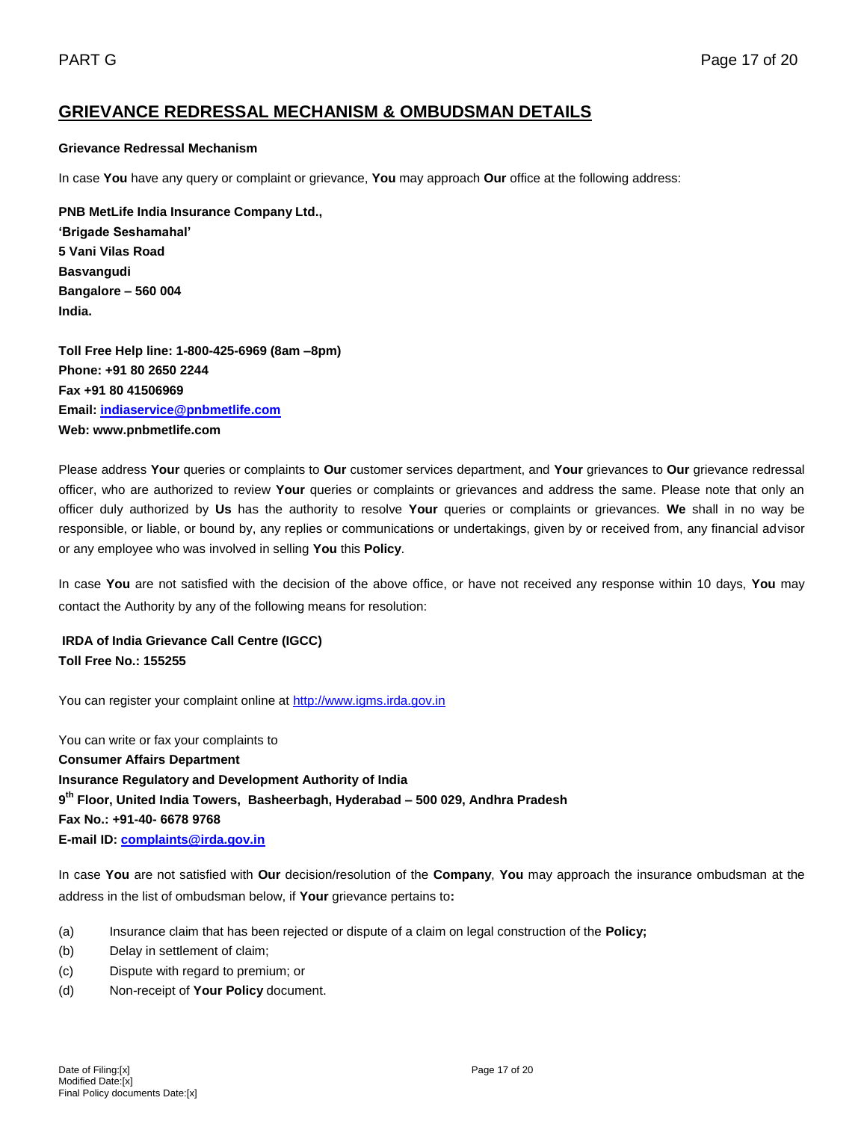# **GRIEVANCE REDRESSAL MECHANISM & OMBUDSMAN DETAILS**

### **Grievance Redressal Mechanism**

In case **You** have any query or complaint or grievance, **You** may approach **Our** office at the following address:

**PNB MetLife India Insurance Company Ltd., 'Brigade Seshamahal' 5 Vani Vilas Road Basvangudi Bangalore – 560 004 India.** 

**Toll Free Help line: 1-800-425-6969 (8am –8pm) Phone: +91 80 2650 2244 Fax +91 80 41506969 Email: [indiaservice@pnbmetlife.com](mailto:indiaservice@pnbmetlife.com) Web: www.pnbmetlife.com** 

Please address **Your** queries or complaints to **Our** customer services department, and **Your** grievances to **Our** grievance redressal officer, who are authorized to review **Your** queries or complaints or grievances and address the same. Please note that only an officer duly authorized by **Us** has the authority to resolve **Your** queries or complaints or grievances. **We** shall in no way be responsible, or liable, or bound by, any replies or communications or undertakings, given by or received from, any financial advisor or any employee who was involved in selling **You** this **Policy**.

In case **You** are not satisfied with the decision of the above office, or have not received any response within 10 days, **You** may contact the Authority by any of the following means for resolution:

**IRDA of India Grievance Call Centre (IGCC) Toll Free No.: 155255**

You can register your complaint online at [http://www.igms.irda.gov.in](http://www.igms.irda.gov.in/)

You can write or fax your complaints to **Consumer Affairs Department Insurance Regulatory and Development Authority of India 9 th Floor, United India Towers, Basheerbagh, Hyderabad – 500 029, Andhra Pradesh Fax No.: +91-40- 6678 9768 E-mail ID[: complaints@irda.gov.in](mailto:complaints@irda.gov.in)**

In case **You** are not satisfied with **Our** decision/resolution of the **Company**, **You** may approach the insurance ombudsman at the address in the list of ombudsman below, if **Your** grievance pertains to**:**

- (a) Insurance claim that has been rejected or dispute of a claim on legal construction of the **Policy;**
- (b) Delay in settlement of claim;
- (c) Dispute with regard to premium; or
- (d) Non-receipt of **Your Policy** document.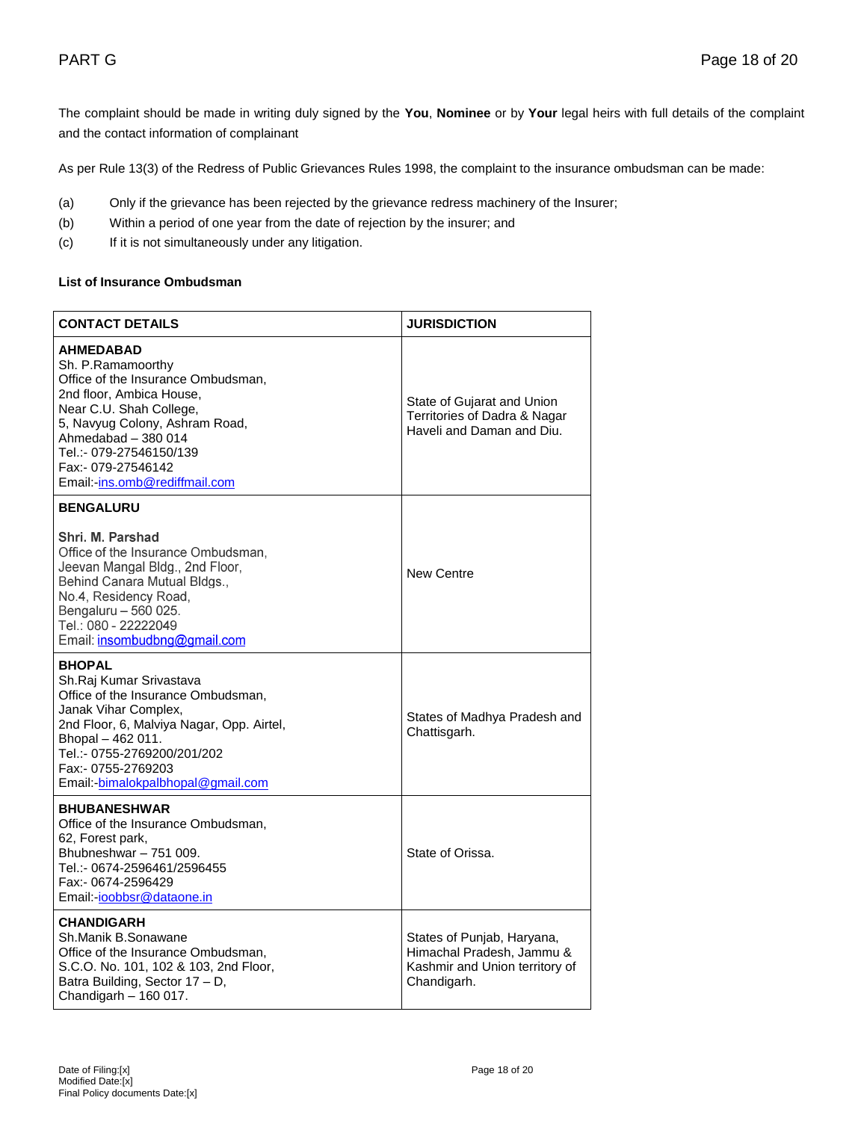The complaint should be made in writing duly signed by the **You**, **Nominee** or by **Your** legal heirs with full details of the complaint and the contact information of complainant

As per Rule 13(3) of the Redress of Public Grievances Rules 1998, the complaint to the insurance ombudsman can be made:

- (a) Only if the grievance has been rejected by the grievance redress machinery of the Insurer;
- (b) Within a period of one year from the date of rejection by the insurer; and
- (c) If it is not simultaneously under any litigation.

## **List of Insurance Ombudsman**

| <b>CONTACT DETAILS</b>                                                                                                                                                                                                                                                        | <b>JURISDICTION</b>                                                                                      |
|-------------------------------------------------------------------------------------------------------------------------------------------------------------------------------------------------------------------------------------------------------------------------------|----------------------------------------------------------------------------------------------------------|
| <b>AHMEDABAD</b><br>Sh. P.Ramamoorthy<br>Office of the Insurance Ombudsman,<br>2nd floor, Ambica House,<br>Near C.U. Shah College,<br>5, Navyug Colony, Ashram Road,<br>Ahmedabad - 380 014<br>Tel.:- 079-27546150/139<br>Fax:- 079-27546142<br>Email:-ins.omb@rediffmail.com | State of Gujarat and Union<br>Territories of Dadra & Nagar<br>Haveli and Daman and Diu.                  |
| <b>BENGALURU</b>                                                                                                                                                                                                                                                              |                                                                                                          |
| Shri. M. Parshad<br>Office of the Insurance Ombudsman,<br>Jeevan Mangal Bldg., 2nd Floor,<br>Behind Canara Mutual Bldgs.,<br>No.4, Residency Road,<br>Bengaluru - 560 025.<br>Tel.: 080 - 22222049<br>Email: insombudbng@gmail.com                                            | <b>New Centre</b>                                                                                        |
| <b>BHOPAL</b><br>Sh.Raj Kumar Srivastava<br>Office of the Insurance Ombudsman,<br>Janak Vihar Complex,<br>2nd Floor, 6, Malviya Nagar, Opp. Airtel,<br>Bhopal - 462 011.<br>Tel.:- 0755-2769200/201/202<br>Fax:- 0755-2769203<br>Email:-bimalokpalbhopal@gmail.com            | States of Madhya Pradesh and<br>Chattisgarh.                                                             |
| <b>BHUBANESHWAR</b><br>Office of the Insurance Ombudsman,<br>62, Forest park,<br>Bhubneshwar - 751 009.<br>Tel.:- 0674-2596461/2596455<br>Fax:- 0674-2596429<br>Email:-ioobbsr@dataone.in                                                                                     | State of Orissa.                                                                                         |
| <b>CHANDIGARH</b><br>Sh.Manik B.Sonawane<br>Office of the Insurance Ombudsman,<br>S.C.O. No. 101, 102 & 103, 2nd Floor,<br>Batra Building, Sector 17 - D,<br>Chandigarh - 160 017.                                                                                            | States of Punjab, Haryana,<br>Himachal Pradesh, Jammu &<br>Kashmir and Union territory of<br>Chandigarh. |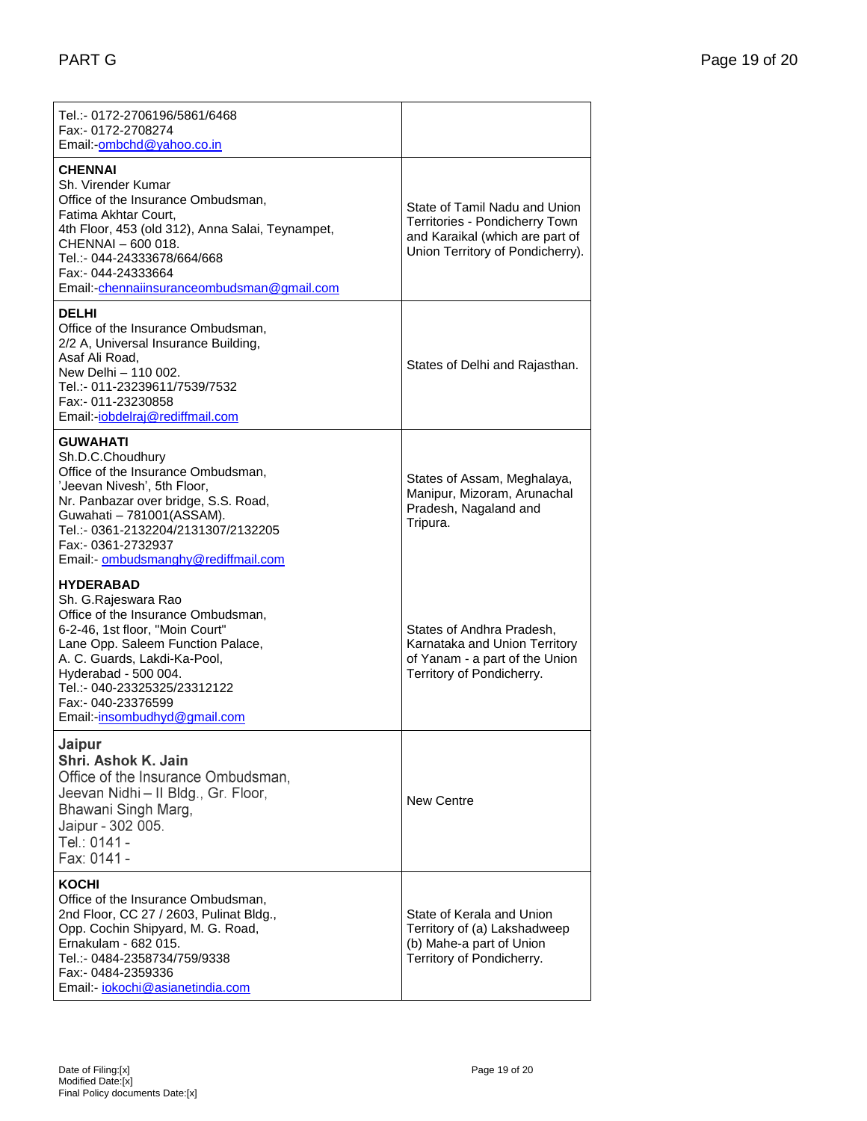| Tel.:- 0172-2706196/5861/6468<br>Fax:- 0172-2708274<br>Email:-ombchd@yahoo.co.in                                                                                                                                                                                                                    |                                                                                                                                        |
|-----------------------------------------------------------------------------------------------------------------------------------------------------------------------------------------------------------------------------------------------------------------------------------------------------|----------------------------------------------------------------------------------------------------------------------------------------|
| <b>CHENNAI</b><br>Sh. Virender Kumar<br>Office of the Insurance Ombudsman,<br>Fatima Akhtar Court,<br>4th Floor, 453 (old 312), Anna Salai, Teynampet,<br>CHENNAI - 600 018.<br>Tel.:- 044-24333678/664/668<br>Fax:- 044-24333664<br>Email:-chennaiinsuranceombudsman@gmail.com                     | State of Tamil Nadu and Union<br>Territories - Pondicherry Town<br>and Karaikal (which are part of<br>Union Territory of Pondicherry). |
| <b>DELHI</b><br>Office of the Insurance Ombudsman,<br>2/2 A, Universal Insurance Building,<br>Asaf Ali Road,<br>New Delhi - 110 002.<br>Tel.:- 011-23239611/7539/7532<br>Fax:- 011-23230858<br>Email:-jobdelraj@rediffmail.com                                                                      | States of Delhi and Rajasthan.                                                                                                         |
| <b>GUWAHATI</b><br>Sh.D.C.Choudhury<br>Office of the Insurance Ombudsman,<br>'Jeevan Nivesh', 5th Floor,<br>Nr. Panbazar over bridge, S.S. Road,<br>Guwahati - 781001(ASSAM).<br>Tel.:- 0361-2132204/2131307/2132205<br>Fax:- 0361-2732937<br>Email:- ombudsmanghy@rediffmail.com                   | States of Assam, Meghalaya,<br>Manipur, Mizoram, Arunachal<br>Pradesh, Nagaland and<br>Tripura.                                        |
| <b>HYDERABAD</b><br>Sh. G.Rajeswara Rao<br>Office of the Insurance Ombudsman,<br>6-2-46, 1st floor, "Moin Court"<br>Lane Opp. Saleem Function Palace,<br>A. C. Guards, Lakdi-Ka-Pool,<br>Hyderabad - 500 004.<br>Tel.:- 040-23325325/23312122<br>Fax:- 040-23376599<br>Email:-insombudhyd@gmail.com | States of Andhra Pradesh,<br>Karnataka and Union Territory<br>of Yanam - a part of the Union<br>Territory of Pondicherry.              |
| Jaipur<br>Shri. Ashok K. Jain<br>Office of the Insurance Ombudsman,<br>Jeevan Nidhi - II Bldg., Gr. Floor,<br>Bhawani Singh Marg,<br>Jaipur - 302 005.<br>Tel.: 0141 -<br>Fax: 0141 -                                                                                                               | New Centre                                                                                                                             |
| KOCHI<br>Office of the Insurance Ombudsman.<br>2nd Floor, CC 27 / 2603, Pulinat Bldg.,<br>Opp. Cochin Shipyard, M. G. Road,<br>Ernakulam - 682 015.<br>Tel.:- 0484-2358734/759/9338<br>Fax:- 0484-2359336<br>Email:- <i>iokochi@asianetindia.com</i>                                                | State of Kerala and Union<br>Territory of (a) Lakshadweep<br>(b) Mahe-a part of Union<br>Territory of Pondicherry.                     |